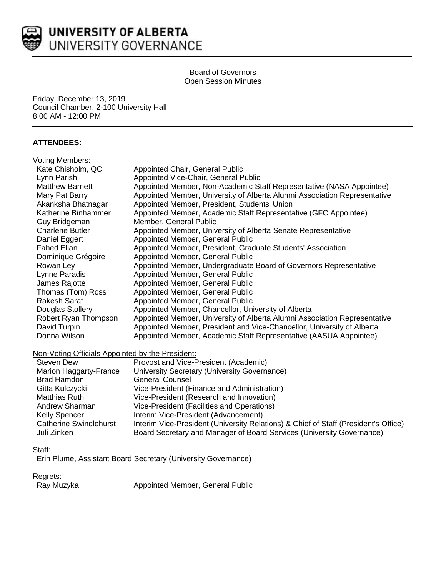

#### Board of Governors Open Session Minutes

Friday, December 13, 2019 Council Chamber, 2-100 University Hall 8:00 AM - 12:00 PM

## **ATTENDEES:**

| Voting Members:        |                                                                           |
|------------------------|---------------------------------------------------------------------------|
| Kate Chisholm, QC      | Appointed Chair, General Public                                           |
| Lynn Parish            | Appointed Vice-Chair, General Public                                      |
| <b>Matthew Barnett</b> | Appointed Member, Non-Academic Staff Representative (NASA Appointee)      |
| Mary Pat Barry         | Appointed Member, University of Alberta Alumni Association Representative |
| Akanksha Bhatnagar     | Appointed Member, President, Students' Union                              |
| Katherine Binhammer    | Appointed Member, Academic Staff Representative (GFC Appointee)           |
| Guy Bridgeman          | Member, General Public                                                    |
| <b>Charlene Butler</b> | Appointed Member, University of Alberta Senate Representative             |
| Daniel Eggert          | Appointed Member, General Public                                          |
| <b>Fahed Elian</b>     | Appointed Member, President, Graduate Students' Association               |
| Dominique Grégoire     | Appointed Member, General Public                                          |
| Rowan Ley              | Appointed Member, Undergraduate Board of Governors Representative         |
| Lynne Paradis          | Appointed Member, General Public                                          |
| James Rajotte          | Appointed Member, General Public                                          |
| Thomas (Tom) Ross      | Appointed Member, General Public                                          |
| Rakesh Saraf           | Appointed Member, General Public                                          |
| Douglas Stollery       | Appointed Member, Chancellor, University of Alberta                       |
| Robert Ryan Thompson   | Appointed Member, University of Alberta Alumni Association Representative |
| David Turpin           | Appointed Member, President and Vice-Chancellor, University of Alberta    |
| Donna Wilson           | Appointed Member, Academic Staff Representative (AASUA Appointee)         |
|                        |                                                                           |

### Non-Voting Officials Appointed by the President:

| <b>Steven Dew</b>             | Provost and Vice-President (Academic)                                               |
|-------------------------------|-------------------------------------------------------------------------------------|
| Marion Haggarty-France        | University Secretary (University Governance)                                        |
| Brad Hamdon                   | <b>General Counsel</b>                                                              |
| Gitta Kulczycki               | Vice-President (Finance and Administration)                                         |
| <b>Matthias Ruth</b>          | Vice-President (Research and Innovation)                                            |
| Andrew Sharman                | Vice-President (Facilities and Operations)                                          |
| <b>Kelly Spencer</b>          | Interim Vice-President (Advancement)                                                |
| <b>Catherine Swindlehurst</b> | Interim Vice-President (University Relations) & Chief of Staff (President's Office) |
| Juli Zinken                   | Board Secretary and Manager of Board Services (University Governance)               |

### Staff:

Erin Plume, Assistant Board Secretary (University Governance)

Regrets:<br>Ray Muzyka

Appointed Member, General Public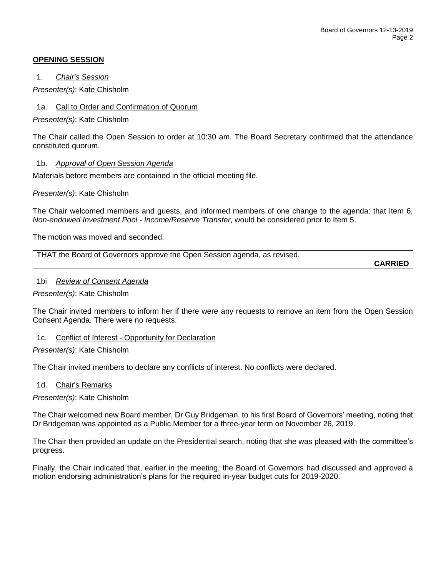## **OPENING SESSION**

1. *Chair's Session*

*Presenter(s)*: Kate Chisholm

1a. Call to Order and Confirmation of Quorum

*Presenter(s)*: Kate Chisholm

The Chair called the Open Session to order at 10:30 am. The Board Secretary confirmed that the attendance constituted quorum.

## 1b. *Approval of Open Session Agenda*

Materials before members are contained in the official meeting file.

*Presenter(s)*: Kate Chisholm

The Chair welcomed members and guests, and informed members of one change to the agenda: that Item 6, *Non-endowed Investment Pool - Income/Reserve Transfer*, would be considered prior to Item 5.

The motion was moved and seconded.

| THAT the Board of Governors approve the Open Session agenda, as revised. |  |
|--------------------------------------------------------------------------|--|
|--------------------------------------------------------------------------|--|

**CARRIED**

### 1bi *Review of Consent Agenda*

*Presenter(s)*: Kate Chisholm

The Chair invited members to inform her if there were any requests to remove an item from the Open Session Consent Agenda. There were no requests.

# 1c. Conflict of Interest - Opportunity for Declaration

### *Presenter(s)*: Kate Chisholm

The Chair invited members to declare any conflicts of interest. No conflicts were declared.

### 1d. Chair's Remarks

*Presenter(s)*: Kate Chisholm

The Chair welcomed new Board member, Dr Guy Bridgeman, to his first Board of Governors' meeting, noting that Dr Bridgeman was appointed as a Public Member for a three-year term on November 26, 2019.

The Chair then provided an update on the Presidential search, noting that she was pleased with the committee's progress.

Finally, the Chair indicated that, earlier in the meeting, the Board of Governors had discussed and approved a motion endorsing administration's plans for the required in-year budget cuts for 2019-2020.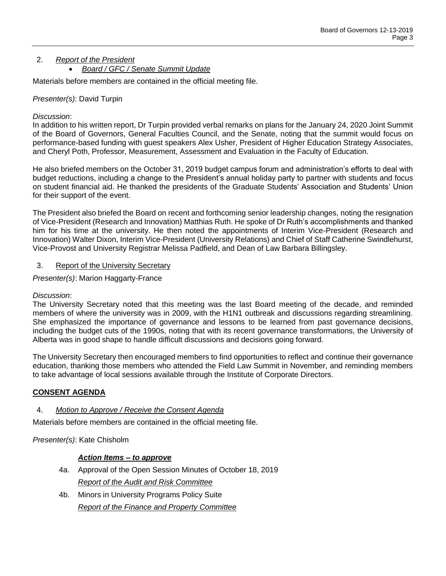### 2. *Report of the President Board / GFC / Senate Summit Update*

Materials before members are contained in the official meeting file.

# *Presenter(s)*: David Turpin

## *Discussion*:

In addition to his written report, Dr Turpin provided verbal remarks on plans for the January 24, 2020 Joint Summit of the Board of Governors, General Faculties Council, and the Senate, noting that the summit would focus on performance-based funding with guest speakers Alex Usher, President of Higher Education Strategy Associates, and Cheryl Poth, Professor, Measurement, Assessment and Evaluation in the Faculty of Education.

He also briefed members on the October 31, 2019 budget campus forum and administration's efforts to deal with budget reductions, including a change to the President's annual holiday party to partner with students and focus on student financial aid. He thanked the presidents of the Graduate Students' Association and Students' Union for their support of the event.

The President also briefed the Board on recent and forthcoming senior leadership changes, noting the resignation of Vice-President (Research and Innovation) Matthias Ruth. He spoke of Dr Ruth's accomplishments and thanked him for his time at the university. He then noted the appointments of Interim Vice-President (Research and Innovation) Walter Dixon, Interim Vice-President (University Relations) and Chief of Staff Catherine Swindlehurst, Vice-Provost and University Registrar Melissa Padfield, and Dean of Law Barbara Billingsley.

## 3. Report of the University Secretary

*Presenter(s)*: Marion Haggarty-France

### *Discussion*:

The University Secretary noted that this meeting was the last Board meeting of the decade, and reminded members of where the university was in 2009, with the H1N1 outbreak and discussions regarding streamlining. She emphasized the importance of governance and lessons to be learned from past governance decisions, including the budget cuts of the 1990s, noting that with its recent governance transformations, the University of Alberta was in good shape to handle difficult discussions and decisions going forward.

The University Secretary then encouraged members to find opportunities to reflect and continue their governance education, thanking those members who attended the Field Law Summit in November, and reminding members to take advantage of local sessions available through the Institute of Corporate Directors.

# **CONSENT AGENDA**

### 4. *Motion to Approve / Receive the Consent Agenda*

Materials before members are contained in the official meeting file.

*Presenter(s)*: Kate Chisholm

### *Action Items – to approve*

- 4a. Approval of the Open Session Minutes of October 18, 2019 *Report of the Audit and Risk Committee*
- 4b. Minors in University Programs Policy Suite *Report of the Finance and Property Committee*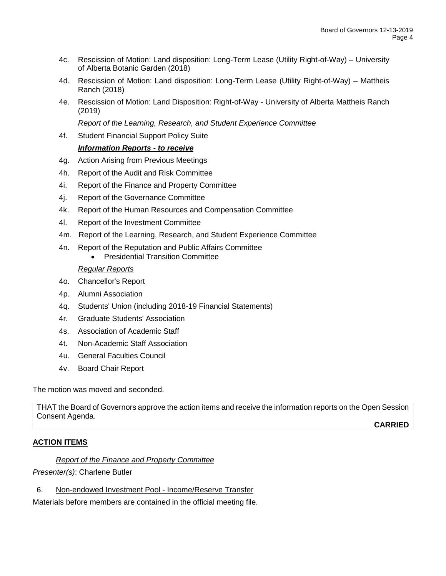- 4c. Rescission of Motion: Land disposition: Long-Term Lease (Utility Right-of-Way) University of Alberta Botanic Garden (2018)
- 4d. Rescission of Motion: Land disposition: Long-Term Lease (Utility Right-of-Way) Mattheis Ranch (2018)
- 4e. Rescission of Motion: Land Disposition: Right-of-Way University of Alberta Mattheis Ranch (2019)

*Report of the Learning, Research, and Student Experience Committee*

4f. Student Financial Support Policy Suite

## *Information Reports - to receive*

- 4g. Action Arising from Previous Meetings
- 4h. Report of the Audit and Risk Committee
- 4i. Report of the Finance and Property Committee
- 4j. Report of the Governance Committee
- 4k. Report of the Human Resources and Compensation Committee
- 4l. Report of the Investment Committee
- 4m. Report of the Learning, Research, and Student Experience Committee
- 4n. Report of the Reputation and Public Affairs Committee
	- Presidential Transition Committee

### *Regular Reports*

- 4o. Chancellor's Report
- 4p. Alumni Association
- 4q. Students' Union (including 2018-19 Financial Statements)
- 4r. Graduate Students' Association
- 4s. Association of Academic Staff
- 4t. Non-Academic Staff Association
- 4u. General Faculties Council
- 4v. Board Chair Report

The motion was moved and seconded.

THAT the Board of Governors approve the action items and receive the information reports on the Open Session Consent Agenda.

**CARRIED**

### **ACTION ITEMS**

*Report of the Finance and Property Committee*

*Presenter(s)*: Charlene Butler

6. Non-endowed Investment Pool - Income/Reserve Transfer

Materials before members are contained in the official meeting file.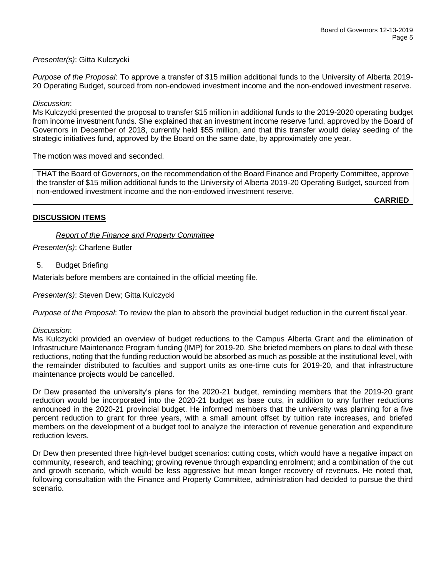# *Presenter(s)*: Gitta Kulczycki

*Purpose of the Proposal*: To approve a transfer of \$15 million additional funds to the University of Alberta 2019- 20 Operating Budget, sourced from non-endowed investment income and the non-endowed investment reserve.

#### *Discussion*:

Ms Kulczycki presented the proposal to transfer \$15 million in additional funds to the 2019-2020 operating budget from income investment funds. She explained that an investment income reserve fund, approved by the Board of Governors in December of 2018, currently held \$55 million, and that this transfer would delay seeding of the strategic initiatives fund, approved by the Board on the same date, by approximately one year.

The motion was moved and seconded.

THAT the Board of Governors, on the recommendation of the Board Finance and Property Committee, approve the transfer of \$15 million additional funds to the University of Alberta 2019-20 Operating Budget, sourced from non-endowed investment income and the non-endowed investment reserve.

**CARRIED**

## **DISCUSSION ITEMS**

### *Report of the Finance and Property Committee*

*Presenter(s)*: Charlene Butler

#### 5. Budget Briefing

Materials before members are contained in the official meeting file.

*Presenter(s)*: Steven Dew; Gitta Kulczycki

*Purpose of the Proposal*: To review the plan to absorb the provincial budget reduction in the current fiscal year.

#### *Discussion*:

Ms Kulczycki provided an overview of budget reductions to the Campus Alberta Grant and the elimination of Infrastructure Maintenance Program funding (IMP) for 2019-20. She briefed members on plans to deal with these reductions, noting that the funding reduction would be absorbed as much as possible at the institutional level, with the remainder distributed to faculties and support units as one-time cuts for 2019-20, and that infrastructure maintenance projects would be cancelled.

Dr Dew presented the university's plans for the 2020-21 budget, reminding members that the 2019-20 grant reduction would be incorporated into the 2020-21 budget as base cuts, in addition to any further reductions announced in the 2020-21 provincial budget. He informed members that the university was planning for a five percent reduction to grant for three years, with a small amount offset by tuition rate increases, and briefed members on the development of a budget tool to analyze the interaction of revenue generation and expenditure reduction levers.

Dr Dew then presented three high-level budget scenarios: cutting costs, which would have a negative impact on community, research, and teaching; growing revenue through expanding enrolment; and a combination of the cut and growth scenario, which would be less aggressive but mean longer recovery of revenues. He noted that, following consultation with the Finance and Property Committee, administration had decided to pursue the third scenario.